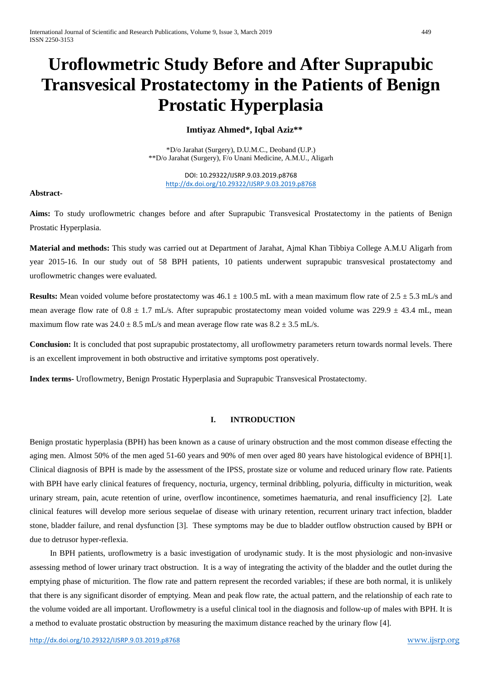# **Uroflowmetric Study Before and After Suprapubic Transvesical Prostatectomy in the Patients of Benign Prostatic Hyperplasia**

# **Imtiyaz Ahmed\*, Iqbal Aziz\*\***

\*D/o Jarahat (Surgery), D.U.M.C., Deoband (U.P.) \*\*D/o Jarahat (Surgery), F/o Unani Medicine, A.M.U., Aligarh

DOI: 10.29322/IJSRP.9.03.2019.p8768 <http://dx.doi.org/10.29322/IJSRP.9.03.2019.p8768>

## **Abstract-**

**Aims:** To study uroflowmetric changes before and after Suprapubic Transvesical Prostatectomy in the patients of Benign Prostatic Hyperplasia.

**Material and methods:** This study was carried out at Department of Jarahat, Ajmal Khan Tibbiya College A.M.U Aligarh from year 2015-16. In our study out of 58 BPH patients, 10 patients underwent suprapubic transvesical prostatectomy and uroflowmetric changes were evaluated.

**Results:** Mean voided volume before prostatectomy was  $46.1 \pm 100.5$  mL with a mean maximum flow rate of  $2.5 \pm 5.3$  mL/s and mean average flow rate of  $0.8 \pm 1.7$  mL/s. After suprapubic prostatectomy mean voided volume was  $229.9 \pm 43.4$  mL, mean maximum flow rate was  $24.0 \pm 8.5$  mL/s and mean average flow rate was  $8.2 \pm 3.5$  mL/s.

**Conclusion:** It is concluded that post suprapubic prostatectomy, all uroflowmetry parameters return towards normal levels. There is an excellent improvement in both obstructive and irritative symptoms post operatively.

**Index terms-** Uroflowmetry, Benign Prostatic Hyperplasia and Suprapubic Transvesical Prostatectomy.

## **I. INTRODUCTION**

Benign prostatic hyperplasia (BPH) has been known as a cause of urinary obstruction and the most common disease effecting the aging men. Almost 50% of the men aged 51-60 years and 90% of men over aged 80 years have histological evidence of BPH[1]. Clinical diagnosis of BPH is made by the assessment of the IPSS, prostate size or volume and reduced urinary flow rate. Patients with BPH have early clinical features of frequency, nocturia, urgency, terminal dribbling, polyuria, difficulty in micturition, weak urinary stream, pain, acute retention of urine, overflow incontinence, sometimes haematuria, and renal insufficiency [2]. Late clinical features will develop more serious sequelae of disease with urinary retention, recurrent urinary tract infection, bladder stone, bladder failure, and renal dysfunction [3]. These symptoms may be due to bladder outflow obstruction caused by BPH or due to detrusor hyper-reflexia.

 In BPH patients, uroflowmetry is a basic investigation of urodynamic study. It is the most physiologic and non-invasive assessing method of lower urinary tract obstruction. It is a way of integrating the activity of the bladder and the outlet during the emptying phase of micturition. The flow rate and pattern represent the recorded variables; if these are both normal, it is unlikely that there is any significant disorder of emptying. Mean and peak flow rate, the actual pattern, and the relationship of each rate to the volume voided are all important. Uroflowmetry is a useful clinical tool in the diagnosis and follow-up of males with BPH. It is a method to evaluate prostatic obstruction by measuring the maximum distance reached by the urinary flow [4].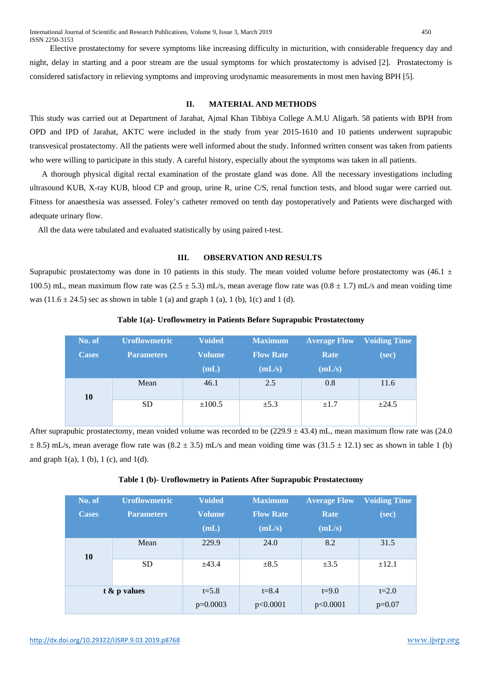Elective prostatectomy for severe symptoms like increasing difficulty in micturition, with considerable frequency day and night, delay in starting and a poor stream are the usual symptoms for which prostatectomy is advised [2]. Prostatectomy is considered satisfactory in relieving symptoms and improving urodynamic measurements in most men having BPH [5].

## **II. MATERIAL AND METHODS**

This study was carried out at Department of Jarahat, Ajmal Khan Tibbiya College A.M.U Aligarh. 58 patients with BPH from OPD and IPD of Jarahat, AKTC were included in the study from year 2015-1610 and 10 patients underwent suprapubic transvesical prostatectomy. All the patients were well informed about the study. Informed written consent was taken from patients who were willing to participate in this study. A careful history, especially about the symptoms was taken in all patients.

 A thorough physical digital rectal examination of the prostate gland was done. All the necessary investigations including ultrasound KUB, X-ray KUB, blood CP and group, urine R, urine C/S, renal function tests, and blood sugar were carried out. Fitness for anaesthesia was assessed. Foley's catheter removed on tenth day postoperatively and Patients were discharged with adequate urinary flow.

All the data were tabulated and evaluated statistically by using paired t-test.

#### **III. OBSERVATION AND RESULTS**

Suprapubic prostatectomy was done in 10 patients in this study. The mean voided volume before prostatectomy was  $(46.1 \pm$ 100.5) mL, mean maximum flow rate was  $(2.5 \pm 5.3)$  mL/s, mean average flow rate was  $(0.8 \pm 1.7)$  mL/s and mean voiding time was  $(11.6 \pm 24.5)$  sec as shown in table 1 (a) and graph 1 (a), 1 (b), 1(c) and 1 (d).

| No. of<br><b>Cases</b> | <b>Uroflowmetric</b><br><b>Parameters</b> | <b>Voided</b><br><b>Volume</b><br>(mL) | <b>Maximum</b><br><b>Flow Rate</b><br>(mL/s) | <b>Average Flow</b><br><b>Rate</b><br>(mL/s) | <b>Voiding Time</b><br>(sec) |
|------------------------|-------------------------------------------|----------------------------------------|----------------------------------------------|----------------------------------------------|------------------------------|
| 10                     | Mean                                      | 46.1                                   | 2.5                                          | 0.8                                          | 11.6                         |
|                        | <b>SD</b>                                 | $\pm 100.5$                            | $\pm$ 5.3                                    | $\pm 1.7$                                    | $\pm 24.5$                   |

#### **Table 1(a)- Uroflowmetry in Patients Before Suprapubic Prostatectomy**

After suprapubic prostatectomy, mean voided volume was recorded to be  $(229.9 \pm 43.4)$  mL, mean maximum flow rate was  $(24.0)$  $\pm$  8.5) mL/s, mean average flow rate was (8.2  $\pm$  3.5) mL/s and mean voiding time was (31.5  $\pm$  12.1) sec as shown in table 1 (b) and graph  $1(a)$ ,  $1(b)$ ,  $1(c)$ , and  $1(d)$ .

|  |  | Table 1 (b)- Uroflowmetry in Patients After Suprapubic Prostatectomy |  |
|--|--|----------------------------------------------------------------------|--|
|  |  |                                                                      |  |

| No. of<br><b>Cases</b> | <b>Uroflowmetric</b><br><b>Parameters</b> | <b>Voided</b><br><b>Volume</b><br>(mL) | <b>Maximum</b><br><b>Flow Rate</b><br>(mL/s) | <b>Average Flow</b><br>Rate<br>(mL/s) | <b>Voiding Time</b><br>(sec) |
|------------------------|-------------------------------------------|----------------------------------------|----------------------------------------------|---------------------------------------|------------------------------|
| 10                     | Mean                                      | 229.9                                  | 24.0                                         | 8.2                                   | 31.5                         |
|                        | <b>SD</b>                                 | ±43.4                                  | $\pm 8.5$                                    | $\pm 3.5$                             | $\pm 12.1$                   |
| $t \& p$ values        |                                           | $t = 5.8$                              | $t = 8.4$                                    | $t = 9.0$                             | $t = 2.0$                    |
|                        |                                           | $p=0.0003$                             | p<0.0001                                     | p<0.0001                              | $p=0.07$                     |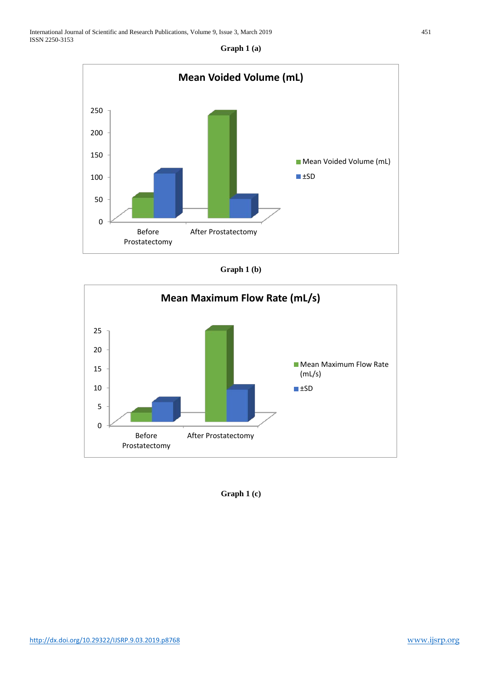**Graph 1 (a)**







**Graph 1 (c)**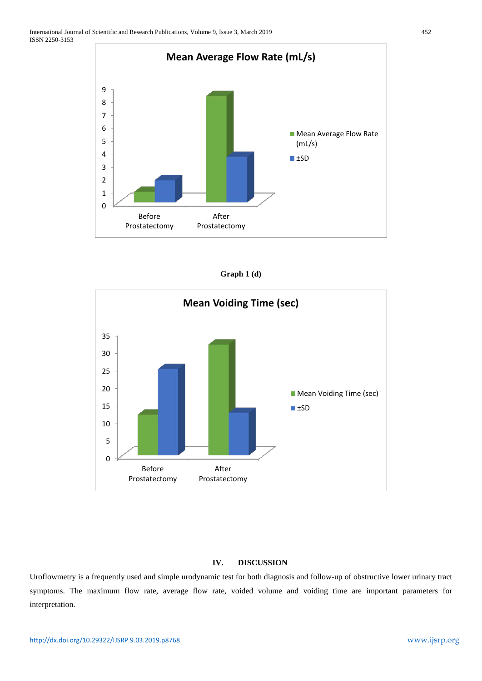

| Graph $1(d)$ |  |  |
|--------------|--|--|
|--------------|--|--|



## **IV. DISCUSSION**

Uroflowmetry is a frequently used and simple urodynamic test for both diagnosis and follow-up of obstructive lower urinary tract symptoms. The maximum flow rate, average flow rate, voided volume and voiding time are important parameters for interpretation.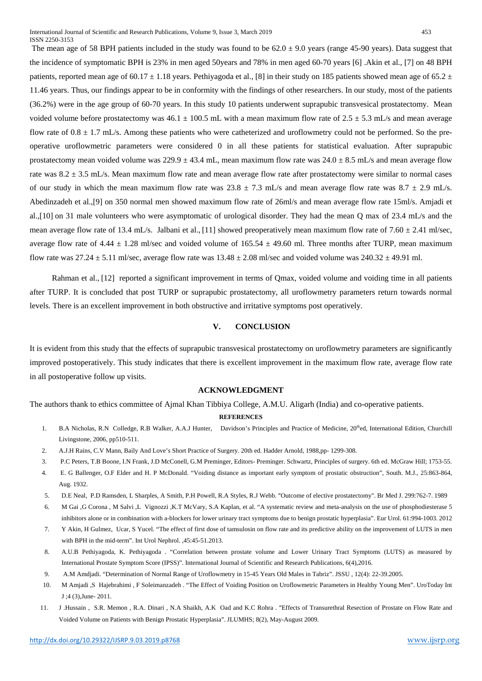The mean age of 58 BPH patients included in the study was found to be  $62.0 \pm 9.0$  years (range 45-90 years). Data suggest that the incidence of symptomatic BPH is 23% in men aged 50years and 78% in men aged 60-70 years [6] .Akin et al., [7] on 48 BPH patients, reported mean age of 60.17  $\pm$  1.18 years. Pethiyagoda et al., [8] in their study on 185 patients showed mean age of 65.2  $\pm$ 11.46 years. Thus, our findings appear to be in conformity with the findings of other researchers. In our study, most of the patients (36.2%) were in the age group of 60-70 years. In this study 10 patients underwent suprapubic transvesical prostatectomy. Mean voided volume before prostatectomy was 46.1  $\pm$  100.5 mL with a mean maximum flow rate of 2.5  $\pm$  5.3 mL/s and mean average flow rate of  $0.8 \pm 1.7$  mL/s. Among these patients who were catheterized and uroflowmetry could not be performed. So the preoperative uroflowmetric parameters were considered 0 in all these patients for statistical evaluation. After suprapubic prostatectomy mean voided volume was  $229.9 \pm 43.4$  mL, mean maximum flow rate was  $24.0 \pm 8.5$  mL/s and mean average flow rate was  $8.2 \pm 3.5$  mL/s. Mean maximum flow rate and mean average flow rate after prostatectomy were similar to normal cases of our study in which the mean maximum flow rate was  $23.8 \pm 7.3$  mL/s and mean average flow rate was  $8.7 \pm 2.9$  mL/s. Abedinzadeh et al.,[9] on 350 normal men showed maximum flow rate of 26ml/s and mean average flow rate 15ml/s. Amjadi et al.,[10] on 31 male volunteers who were asymptomatic of urological disorder. They had the mean Q max of 23.4 mL/s and the mean average flow rate of 13.4 mL/s. Jalbani et al., [11] showed preoperatively mean maximum flow rate of  $7.60 \pm 2.41$  ml/sec, average flow rate of 4.44  $\pm$  1.28 ml/sec and voided volume of 165.54  $\pm$  49.60 ml. Three months after TURP, mean maximum flow rate was  $27.24 \pm 5.11$  ml/sec, average flow rate was  $13.48 \pm 2.08$  ml/sec and voided volume was  $240.32 \pm 49.91$  ml.

 Rahman et al., [12] reported a significant improvement in terms of Qmax, voided volume and voiding time in all patients after TURP. It is concluded that post TURP or suprapubic prostatectomy, all uroflowmetry parameters return towards normal levels. There is an excellent improvement in both obstructive and irritative symptoms post operatively.

## **V. CONCLUSION**

It is evident from this study that the effects of suprapubic transvesical prostatectomy on uroflowmetry parameters are significantly improved postoperatively. This study indicates that there is excellent improvement in the maximum flow rate, average flow rate in all postoperative follow up visits.

#### **ACKNOWLEDGMENT**

The authors thank to ethics committee of Ajmal Khan Tibbiya College, A.M.U. Aligarh (India) and co-operative patients.

#### **REFERENCES**

- 1. B.A Nicholas, R.N Colledge, R.B Walker, A.A.J Hunter, Davidson's Principles and Practice of Medicine, 20<sup>th</sup>ed, International Edition, Churchill Livingstone, 2006, pp510-511.
- 2. A.J.H Rains, C.V Mann, Baily And Love's Short Practice of Surgery. 20th ed. Hadder Arnold, 1988,pp- 1299-308.
- 3. P.C Peters, T.B Boone, I.N Frank, J.D McConell, G.M Preminger, Editors- Preminger. Schwartz, Principles of surgery. 6th ed. McGraw Hill; 1753-55.
- 4. E. G Ballenger, O.F Elder and H. P McDonald. "Voiding distance as important early symptom of prostatic obstruction", South. M.J., 25:863-864, Aug. 1932.
- 5. D.E Neal, P.D Ramsden, L Sharples, A Smith, P.H Powell, R.A Styles, R.J Webb. "Outcome of elective prostatectomy". Br Med J. 299:762-7. 1989
- 6. M Gai ,G Corona , M Salvi ,L Vignozzi ,K.T McVary, S.A Kaplan, et al. "A systematic review and meta-analysis on the use of phosphodiesterase 5 inhibitors alone or in combination with a-blockers for lower urinary tract symptoms due to benign prostatic hyperplasia". Eur Urol. 61:994-1003. 2012
- 7. Y Akin, H Gulmez, Ucar, S Yucel. "The effect of first dose of tamsulosin on flow rate and its predictive ability on the improvement of LUTS in men with BPH in the mid-term". Int Urol Nephrol. ,45:45-51.2013.
- 8. A.U.B Pethiyagoda, K. Pethiyagoda . "Correlation between prostate volume and Lower Urinary Tract Symptoms (LUTS) as measured by International Prostate Symptom Score (IPSS)". International Journal of Scientific and Research Publications, 6(4),2016.
- 9. A.M Amdjadi. "Determination of Normal Range of Uroflowmetry in 15-45 Years Old Males in Tabriz". JSSU , 12(4): 22-39.2005.
- 10. M Amjadi ,S Hajebrahimi , F Soleimanzadeh . "The Effect of Voiding Position on Uroflowmetric Parameters in Healthy Young Men". UroToday Int J ;4 (3),June- 2011.
- 11. J .Hussain , S.R. Memon , R.A. Dinari , N.A Shaikh, A.K Oad and K.C Rohra . "Effects of Transurethral Resection of Prostate on Flow Rate and Voided Volume on Patients with Benign Prostatic Hyperplasia". JLUMHS; 8(2), May-August 2009.